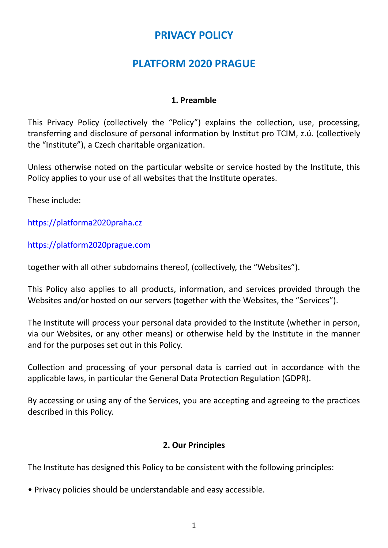## **PRIVACY POLICY**

# **PLATFORM 2020 PRAGUE**

#### **1. Preamble**

This Privacy Policy (collectively the "Policy") explains the collection, use, processing, transferring and disclosure of personal information by Institut pro TCIM, z.ú. (collectively the "Institute"), a Czech charitable organization.

Unless otherwise noted on the particular website or service hosted by the Institute, this Policy applies to your use of all websites that the Institute operates.

These include:

[https://platforma2020praha.cz](https://platforma2020praha.cz/)

[https://platform2020prague.com](https://platform2020prague.com/)

together with all other subdomains thereof, (collectively, the "Websites").

This Policy also applies to all products, information, and services provided through the Websites and/or hosted on our servers (together with the Websites, the "Services").

The Institute will process your personal data provided to the Institute (whether in person, via our Websites, or any other means) or otherwise held by the Institute in the manner and for the purposes set out in this Policy.

Collection and processing of your personal data is carried out in accordance with the applicable laws, in particular the General Data Protection Regulation (GDPR).

By accessing or using any of the Services, you are accepting and agreeing to the practices described in this Policy.

## **2. Our Principles**

The Institute has designed this Policy to be consistent with the following principles:

• Privacy policies should be understandable and easy accessible.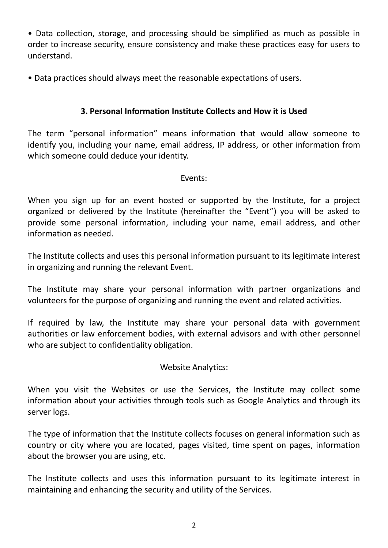• Data collection, storage, and processing should be simplified as much as possible in order to increase security, ensure consistency and make these practices easy for users to understand.

• Data practices should always meet the reasonable expectations of users.

## **3. Personal Information Institute Collects and How it is Used**

The term "personal information" means information that would allow someone to identify you, including your name, email address, IP address, or other information from which someone could deduce your identity.

## Events:

When you sign up for an event hosted or supported by the Institute, for a project organized or delivered by the Institute (hereinafter the "Event") you will be asked to provide some personal information, including your name, email address, and other information as needed.

The Institute collects and uses this personal information pursuant to its legitimate interest in organizing and running the relevant Event.

The Institute may share your personal information with partner organizations and volunteers for the purpose of organizing and running the event and related activities.

If required by law, the Institute may share your personal data with government authorities or law enforcement bodies, with external advisors and with other personnel who are subject to confidentiality obligation.

## Website Analytics:

When you visit the Websites or use the Services, the Institute may collect some information about your activities through tools such as Google Analytics and through its server logs.

The type of information that the Institute collects focuses on general information such as country or city where you are located, pages visited, time spent on pages, information about the browser you are using, etc.

The Institute collects and uses this information pursuant to its legitimate interest in maintaining and enhancing the security and utility of the Services.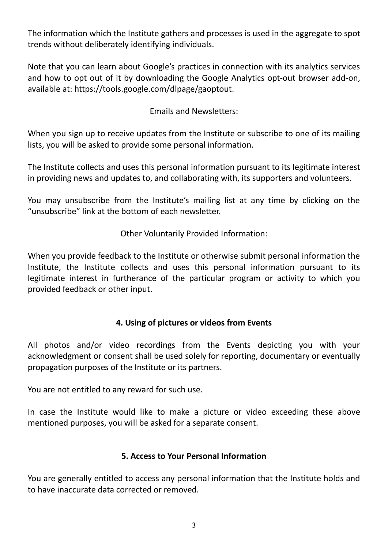The information which the Institute gathers and processes is used in the aggregate to spot trends without deliberately identifying individuals.

Note that you can learn about Google's practices in connection with its analytics services and how to opt out of it by downloading the Google Analytics opt-out browser add-on, available at: https://tools.google.com/dlpage/gaoptout.

Emails and Newsletters:

When you sign up to receive updates from the Institute or subscribe to one of its mailing lists, you will be asked to provide some personal information.

The Institute collects and uses this personal information pursuant to its legitimate interest in providing news and updates to, and collaborating with, its supporters and volunteers.

You may unsubscribe from the Institute's mailing list at any time by clicking on the "unsubscribe" link at the bottom of each newsletter.

Other Voluntarily Provided Information:

When you provide feedback to the Institute or otherwise submit personal information the Institute, the Institute collects and uses this personal information pursuant to its legitimate interest in furtherance of the particular program or activity to which you provided feedback or other input.

## **4. Using of pictures or videos from Events**

All photos and/or video recordings from the Events depicting you with your acknowledgment or consent shall be used solely for reporting, documentary or eventually propagation purposes of the Institute or its partners.

You are not entitled to any reward for such use.

In case the Institute would like to make a picture or video exceeding these above mentioned purposes, you will be asked for a separate consent.

#### **5. Access to Your Personal Information**

You are generally entitled to access any personal information that the Institute holds and to have inaccurate data corrected or removed.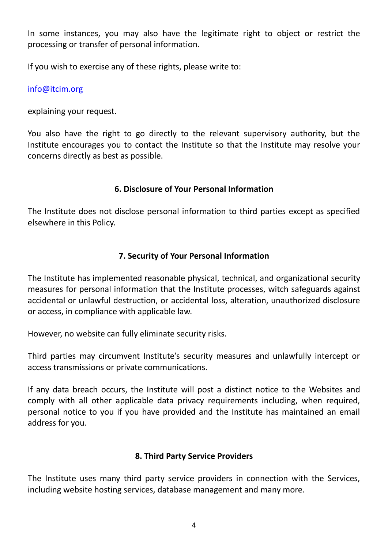In some instances, you may also have the legitimate right to object or restrict the processing or transfer of personal information.

If you wish to exercise any of these rights, please write to:

#### [info@itcim.org](mailto:info@itcim.org)

explaining your request.

You also have the right to go directly to the relevant supervisory authority, but the Institute encourages you to contact the Institute so that the Institute may resolve your concerns directly as best as possible.

## **6. Disclosure of Your Personal Information**

The Institute does not disclose personal information to third parties except as specified elsewhere in this Policy.

#### **7. Security of Your Personal Information**

The Institute has implemented reasonable physical, technical, and organizational security measures for personal information that the Institute processes, witch safeguards against accidental or unlawful destruction, or accidental loss, alteration, unauthorized disclosure or access, in compliance with applicable law.

However, no website can fully eliminate security risks.

Third parties may circumvent Institute's security measures and unlawfully intercept or access transmissions or private communications.

If any data breach occurs, the Institute will post a distinct notice to the Websites and comply with all other applicable data privacy requirements including, when required, personal notice to you if you have provided and the Institute has maintained an email address for you.

## **8. Third Party Service Providers**

The Institute uses many third party service providers in connection with the Services, including website hosting services, database management and many more.